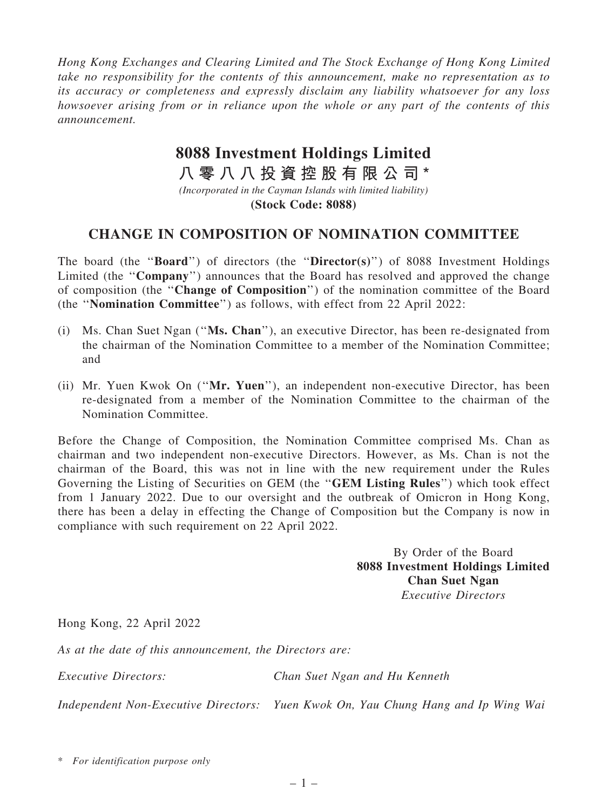*Hong Kong Exchanges and Clearing Limited and The Stock Exchange of Hong Kong Limited take no responsibility for the contents of this announcement, make no representation as to its accuracy or completeness and expressly disclaim any liability whatsoever for any loss howsoever arising from or in reliance upon the whole or any part of the contents of this announcement.*

## **8088 Investment Holdings Limited**

**八 零 八 八 投 資 控 股 有 限 公 司 \***

*(Incorporated in the Cayman Islands with limited liability)* **(Stock Code: 8088)**

## CHANGE IN COMPOSITION OF NOMINATION COMMITTEE

The board (the "**Board**") of directors (the "**Director(s)**") of 8088 Investment Holdings Limited (the "Company") announces that the Board has resolved and approved the change of composition (the ''Change of Composition'') of the nomination committee of the Board (the ''Nomination Committee'') as follows, with effect from 22 April 2022:

- (i) Ms. Chan Suet Ngan (''Ms. Chan''), an executive Director, has been re-designated from the chairman of the Nomination Committee to a member of the Nomination Committee; and
- (ii) Mr. Yuen Kwok On (''Mr. Yuen''), an independent non-executive Director, has been re-designated from a member of the Nomination Committee to the chairman of the Nomination Committee.

Before the Change of Composition, the Nomination Committee comprised Ms. Chan as chairman and two independent non-executive Directors. However, as Ms. Chan is not the chairman of the Board, this was not in line with the new requirement under the Rules Governing the Listing of Securities on GEM (the ''GEM Listing Rules'') which took effect from 1 January 2022. Due to our oversight and the outbreak of Omicron in Hong Kong, there has been a delay in effecting the Change of Composition but the Company is now in compliance with such requirement on 22 April 2022.

> By Order of the Board 8088 Investment Holdings Limited Chan Suet Ngan *Executive Directors*

Hong Kong, 22 April 2022

*As at the date of this announcement, the Directors are:*

*Executive Directors: Chan Suet Ngan and Hu Kenneth*

*Independent Non-Executive Directors: Yuen Kwok On, Yau Chung Hang and Ip Wing Wai*

\* *For identification purpose only*